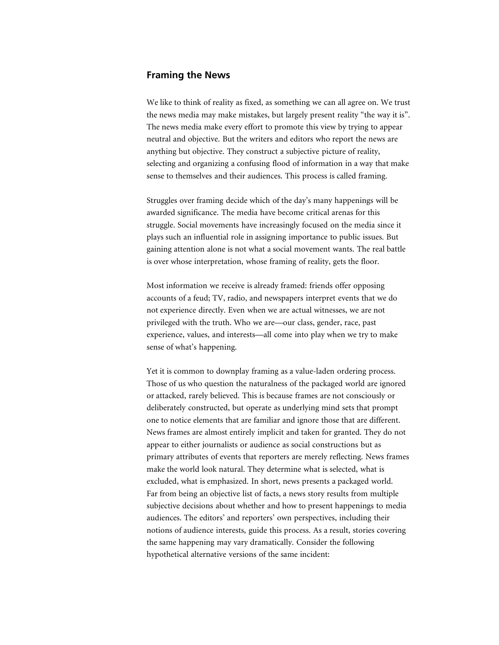## **Framing the News**

We like to think of reality as fixed, as something we can all agree on. We trust the news media may make mistakes, but largely present reality "the way it is". The news media make every effort to promote this view by trying to appear neutral and objective. But the writers and editors who report the news are anything but objective. They construct a subjective picture of reality, selecting and organizing a confusing flood of information in a way that make sense to themselves and their audiences. This process is called framing.

Struggles over framing decide which of the day's many happenings will be awarded significance. The media have become critical arenas for this struggle. Social movements have increasingly focused on the media since it plays such an influential role in assigning importance to public issues. But gaining attention alone is not what a social movement wants. The real battle is over whose interpretation, whose framing of reality, gets the floor.

Most information we receive is already framed: friends offer opposing accounts of a feud; TV, radio, and newspapers interpret events that we do not experience directly. Even when we are actual witnesses, we are not privileged with the truth. Who we are—our class, gender, race, past experience, values, and interests—all come into play when we try to make sense of what's happening.

Yet it is common to downplay framing as a value-laden ordering process. Those of us who question the naturalness of the packaged world are ignored or attacked, rarely believed. This is because frames are not consciously or deliberately constructed, but operate as underlying mind sets that prompt one to notice elements that are familiar and ignore those that are different. News frames are almost entirely implicit and taken for granted. They do not appear to either journalists or audience as social constructions but as primary attributes of events that reporters are merely reflecting. News frames make the world look natural. They determine what is selected, what is excluded, what is emphasized. In short, news presents a packaged world. Far from being an objective list of facts, a news story results from multiple subjective decisions about whether and how to present happenings to media audiences. The editors' and reporters' own perspectives, including their notions of audience interests, guide this process. As a result, stories covering the same happening may vary dramatically. Consider the following hypothetical alternative versions of the same incident: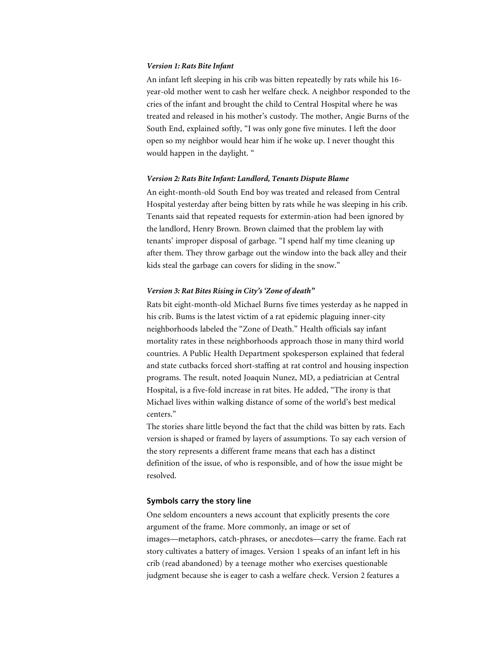#### *Version 1: Rats Bite Infant*

An infant left sleeping in his crib was bitten repeatedly by rats while his 16 year-old mother went to cash her welfare check. A neighbor responded to the cries of the infant and brought the child to Central Hospital where he was treated and released in his mother's custody. The mother, Angie Burns of the South End, explained softly, "I was only gone five minutes. I left the door open so my neighbor would hear him if he woke up. I never thought this would happen in the daylight. "

## *Version 2: Rats Bite Infant: Landlord, Tenants Dispute Blame*

An eight-month-old South End boy was treated and released from Central Hospital yesterday after being bitten by rats while he was sleeping in his crib. Tenants said that repeated requests for extermin-ation had been ignored by the landlord, Henry Brown. Brown claimed that the problem lay with tenants' improper disposal of garbage. "I spend half my time cleaning up after them. They throw garbage out the window into the back alley and their kids steal the garbage can covers for sliding in the snow."

## *Version 3: Rat Bites Rising in City's 'Zone of death"*

Rats bit eight-month-old Michael Burns five times yesterday as he napped in his crib. Bums is the latest victim of a rat epidemic plaguing inner-city neighborhoods labeled the "Zone of Death." Health officials say infant mortality rates in these neighborhoods approach those in many third world countries. A Public Health Department spokesperson explained that federal and state cutbacks forced short-staffing at rat control and housing inspection programs. The result, noted Joaquin Nunez, MD, a pediatrician at Central Hospital, is a five-fold increase in rat bites. He added, "The irony is that Michael lives within walking distance of some of the world's best medical centers."

The stories share little beyond the fact that the child was bitten by rats. Each version is shaped or framed by layers of assumptions. To say each version of the story represents a different frame means that each has a distinct definition of the issue, of who is responsible, and of how the issue might be resolved.

# **Symbols carry the story line**

One seldom encounters a news account that explicitly presents the core argument of the frame. More commonly, an image or set of images—metaphors, catch-phrases, or anecdotes—carry the frame. Each rat story cultivates a battery of images. Version 1 speaks of an infant left in his crib (read abandoned) by a teenage mother who exercises questionable judgment because she is eager to cash a welfare check. Version 2 features a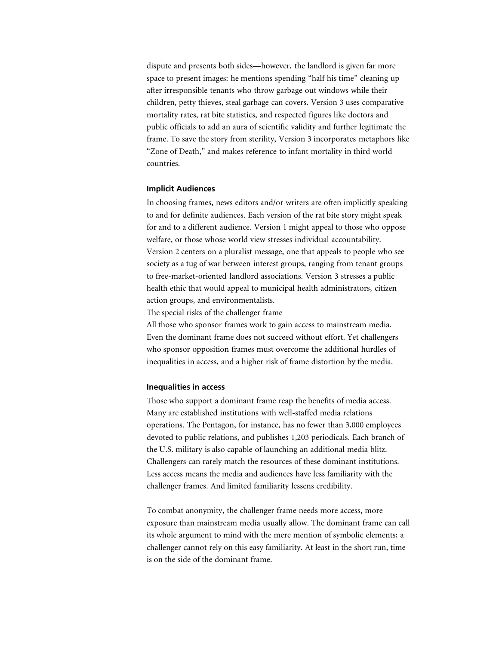dispute and presents both sides—however, the landlord is given far more space to present images: he mentions spending "half his time" cleaning up after irresponsible tenants who throw garbage out windows while their children, petty thieves, steal garbage can covers. Version 3 uses comparative mortality rates, rat bite statistics, and respected figures like doctors and public officials to add an aura of scientific validity and further legitimate the frame. To save the story from sterility, Version 3 incorporates metaphors like "Zone of Death," and makes reference to infant mortality in third world countries.

#### **Implicit Audiences**

In choosing frames, news editors and/or writers are often implicitly speaking to and for definite audiences. Each version of the rat bite story might speak for and to a different audience. Version 1 might appeal to those who oppose welfare, or those whose world view stresses individual accountability. Version 2 centers on a pluralist message, one that appeals to people who see society as a tug of war between interest groups, ranging from tenant groups to free-market-oriented landlord associations. Version 3 stresses a public health ethic that would appeal to municipal health administrators, citizen action groups, and environmentalists.

The special risks of the challenger frame

All those who sponsor frames work to gain access to mainstream media. Even the dominant frame does not succeed without effort. Yet challengers who sponsor opposition frames must overcome the additional hurdles of inequalities in access, and a higher risk of frame distortion by the media.

#### **Inequalities in access**

Those who support a dominant frame reap the benefits of media access. Many are established institutions with well-staffed media relations operations. The Pentagon, for instance, has no fewer than 3,000 employees devoted to public relations, and publishes 1,203 periodicals. Each branch of the U.S. military is also capable of launching an additional media blitz. Challengers can rarely match the resources of these dominant institutions. Less access means the media and audiences have less familiarity with the challenger frames. And limited familiarity lessens credibility.

To combat anonymity, the challenger frame needs more access, more exposure than mainstream media usually allow. The dominant frame can call its whole argument to mind with the mere mention of symbolic elements; a challenger cannot rely on this easy familiarity. At least in the short run, time is on the side of the dominant frame.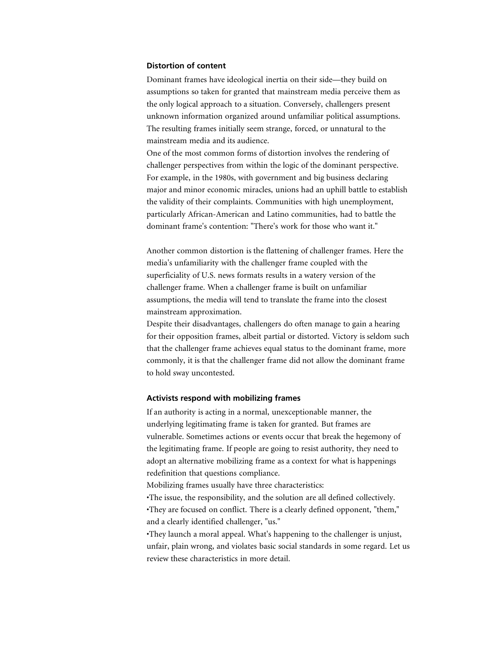## **Distortion of content**

Dominant frames have ideological inertia on their side—they build on assumptions so taken for granted that mainstream media perceive them as the only logical approach to a situation. Conversely, challengers present unknown information organized around unfamiliar political assumptions. The resulting frames initially seem strange, forced, or unnatural to the mainstream media and its audience.

One of the most common forms of distortion involves the rendering of challenger perspectives from within the logic of the dominant perspective. For example, in the 1980s, with government and big business declaring major and minor economic miracles, unions had an uphill battle to establish the validity of their complaints. Communities with high unemployment, particularly African-American and Latino communities, had to battle the dominant frame's contention: "There's work for those who want it."

Another common distortion is the flattening of challenger frames. Here the media's unfamiliarity with the challenger frame coupled with the superficiality of U.S. news formats results in a watery version of the challenger frame. When a challenger frame is built on unfamiliar assumptions, the media will tend to translate the frame into the closest mainstream approximation.

Despite their disadvantages, challengers do often manage to gain a hearing for their opposition frames, albeit partial or distorted. Victory is seldom such that the challenger frame achieves equal status to the dominant frame, more commonly, it is that the challenger frame did not allow the dominant frame to hold sway uncontested.

# **Activists respond with mobilizing frames**

If an authority is acting in a normal, unexceptionable manner, the underlying legitimating frame is taken for granted. But frames are vulnerable. Sometimes actions or events occur that break the hegemony of the legitimating frame. If people are going to resist authority, they need to adopt an alternative mobilizing frame as a context for what is happenings redefinition that questions compliance.

Mobilizing frames usually have three characteristics:

•The issue, the responsibility, and the solution are all defined collectively. •They are focused on conflict. There is a clearly defined opponent, "them," and a clearly identified challenger, "us."

•They launch a moral appeal. What's happening to the challenger is unjust, unfair, plain wrong, and violates basic social standards in some regard. Let us review these characteristics in more detail.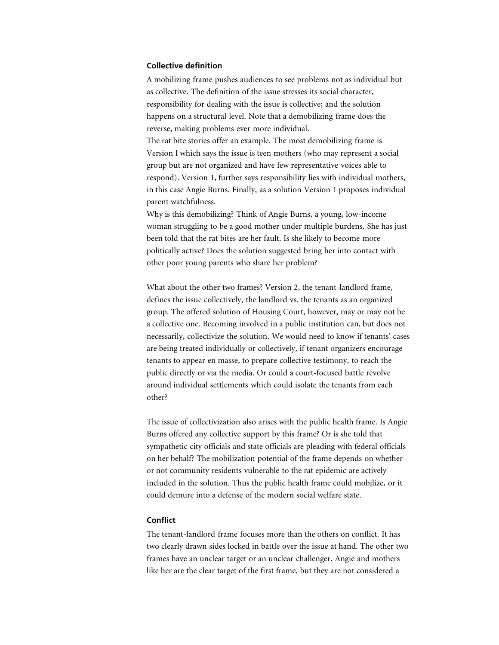## **Collective definition**

A mobilizing frame pushes audiences to see problems not as individual but as collective. The definition of the issue stresses its social character, responsibility for dealing with the issue is collective; and the solution happens on a structural level. Note that a demobilizing frame does the reverse, making problems ever more individual.

The rat bite stories offer an example. The most demobilizing frame is Version I which says the issue is teen mothers (who may represent a social group but are not organized and have few representative voices able to respond). Version 1, further says responsibility lies with individual mothers, in this case Angie Burns. Finally, as a solution Version 1 proposes individual parent watchfulness.

Why is this demobilizing? Think of Angie Burns, a young, low-income woman struggling to be a good mother under multiple burdens. She has just been told that the rat bites are her fault. Is she likely to become more politically active? Does the solution suggested bring her into contact with other poor young parents who share her problem?

What about the other two frames? Version 2, the tenant-landlord frame, defines the issue collectively, the landlord vs. the tenants as an organized group. The offered solution of Housing Court, however, may or may not be a collective one. Becoming involved in a public institution can, but does not necessarily, collectivize the solution. We would need to know if tenants' cases are being treated individually or collectively, if tenant organizers encourage tenants to appear en masse, to prepare collective testimony, to reach the public directly or via the media. Or could a court-focused battle revolve around individual settlements which could isolate the tenants from each other?

The issue of collectivization also arises with the public health frame. Is Angie Burns offered any collective support by this frame? Or is she told that sympathetic city officials and state officials are pleading with federal officials on her behalf? The mobilization potential of the frame depends on whether or not community residents vulnerable to the rat epidemic are actively included in the solution. Thus the public health frame could mobilize, or it could demure into a defense of the modern social welfare state.

## **Conflict**

The tenant-landlord frame focuses more than the others on conflict. It has two clearly drawn sides locked in battle over the issue at hand. The other two frames have an unclear target or an unclear challenger. Angie and mothers like her are the clear target of the first frame, but they are not considered a